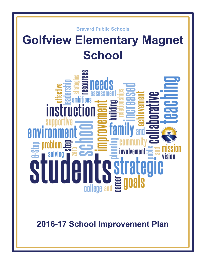

# **Golfview Elementary Magnet School**



**2016-17 School Improvement Plan**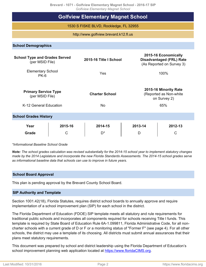**Brevard - 1071 - Golfview Elementary Magnet School - 2016-17 SIP**

| <b>Golfview Elementary Magnet School</b>                |         |                        |         |                                                                                      |  |  |  |  |  |
|---------------------------------------------------------|---------|------------------------|---------|--------------------------------------------------------------------------------------|--|--|--|--|--|
| <b>Golfview Elementary Magnet School</b>                |         |                        |         |                                                                                      |  |  |  |  |  |
| 1530 S FISKE BLVD, Rockledge, FL 32955                  |         |                        |         |                                                                                      |  |  |  |  |  |
| http://www.golfview.brevard.k12.fl.us                   |         |                        |         |                                                                                      |  |  |  |  |  |
| <b>School Demographics</b>                              |         |                        |         |                                                                                      |  |  |  |  |  |
| <b>School Type and Grades Served</b><br>(per MSID File) |         | 2015-16 Title I School |         | 2015-16 Economically<br><b>Disadvantaged (FRL) Rate</b><br>(As Reported on Survey 3) |  |  |  |  |  |
| <b>Elementary School</b><br>$PK-6$                      |         | Yes                    |         | 100%                                                                                 |  |  |  |  |  |
| <b>Primary Service Type</b><br>(per MSID File)          |         | <b>Charter School</b>  |         | 2015-16 Minority Rate<br>(Reported as Non-white<br>on Survey 2)                      |  |  |  |  |  |
| K-12 General Education                                  |         | <b>No</b>              |         | 65%                                                                                  |  |  |  |  |  |
| <b>School Grades History</b>                            |         |                        |         |                                                                                      |  |  |  |  |  |
| Year                                                    | 2015-16 | 2014-15                | 2013-14 | 2012-13                                                                              |  |  |  |  |  |
| <b>Grade</b>                                            | C       | D*                     | D       | C                                                                                    |  |  |  |  |  |

*\*Informational Baseline School Grade*

*Note: The school grades calculation was revised substantially for the 2014-15 school year to implement statutory changes made by the 2014 Legislature and incorporate the new Florida Standards Assessments. The 2014-15 school grades serve as informational baseline data that schools can use to improve in future years.*

#### **School Board Approval**

This plan is pending approval by the Brevard County School Board.

#### **SIP Authority and Template**

Section 1001.42(18), Florida Statutes, requires district school boards to annually approve and require implementation of a school improvement plan (SIP) for each school in the district.

The Florida Department of Education (FDOE) SIP template meets all statutory and rule requirements for traditional public schools and incorporates all components required for schools receiving Title I funds. This template is required by State Board of Education Rule 6A-1.099811, Florida Administrative Code, for all noncharter schools with a current grade of D or F or a monitoring status of "Former F" (see page 4). For all other schools, the district may use a template of its choosing. All districts must submit annual assurances that their plans meet statutory requirements.

This document was prepared by school and district leadership using the Florida Department of Education's school improvement planning web application located at [https://www.floridaCIMS.org](https://www.floridacims.org).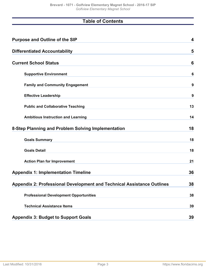# **Table of Contents**

| <b>Purpose and Outline of the SIP</b>                                         | $\overline{\mathbf{4}}$ |
|-------------------------------------------------------------------------------|-------------------------|
| <b>Differentiated Accountability</b>                                          | 5                       |
| <b>Current School Status</b>                                                  | 6                       |
| <b>Supportive Environment</b>                                                 | 6                       |
| <b>Family and Community Engagement</b>                                        | 9                       |
| <b>Effective Leadership</b>                                                   | 9                       |
| <b>Public and Collaborative Teaching</b>                                      | 13                      |
| <b>Ambitious Instruction and Learning</b>                                     | 14                      |
| 8-Step Planning and Problem Solving Implementation                            | 18                      |
| <b>Goals Summary</b>                                                          | 18                      |
| <b>Goals Detail</b>                                                           | 18                      |
| <b>Action Plan for Improvement</b>                                            | 21                      |
| <b>Appendix 1: Implementation Timeline</b>                                    | 36                      |
| <b>Appendix 2: Professional Development and Technical Assistance Outlines</b> | 38                      |
| <b>Professional Development Opportunities</b>                                 | 38                      |
| <b>Technical Assistance Items</b>                                             | 39                      |
| <b>Appendix 3: Budget to Support Goals</b>                                    | 39                      |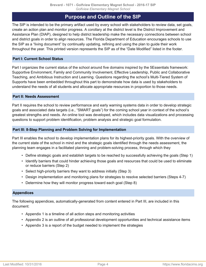# **Purpose and Outline of the SIP**

<span id="page-3-0"></span>The SIP is intended to be the primary artifact used by every school with stakeholders to review data, set goals, create an action plan and monitor progress. A corollary at the district level is the District Improvement and Assistance Plan (DIAP), designed to help district leadership make the necessary connections between school and district goals in order to align resources. The Florida Department of Education encourages schools to use the SIP as a "living document" by continually updating, refining and using the plan to guide their work throughout the year. This printed version represents the SIP as of the "Date Modified" listed in the footer.

## **Part I: Current School Status**

Part I organizes the current status of the school around five domains inspired by the 5Essentials framework: Supportive Environment, Family and Community Involvement, Effective Leadership, Public and Collaborative Teaching, and Ambitious Instruction and Learning. Questions regarding the school's Multi-Tiered System of Supports have been embedded throughout this part to demonstrate how data is used by stakeholders to understand the needs of all students and allocate appropriate resources in proportion to those needs.

## **Part II: Needs Assessment**

Part II requires the school to review performance and early warning systems data in order to develop strategic goals and associated data targets (i.e., "SMART goals") for the coming school year in context of the school's greatest strengths and needs. An online tool was developed, which includes data visualizations and processing questions to support problem identification, problem analysis and strategic goal formulation.

#### **Part III: 8-Step Planning and Problem Solving for Implementation**

Part III enables the school to develop implementation plans for its highest-priority goals. With the overview of the current state of the school in mind and the strategic goals identified through the needs assessment, the planning team engages in a facilitated planning and problem-solving process, through which they

- Define strategic goals and establish targets to be reached by successfully achieving the goals (Step 1)
- Identify barriers that could hinder achieving those goals and resources that could be used to eliminate or reduce barriers (Step 2)
- Select high-priority barriers they want to address initially (Step 3)
- Design implementation and monitoring plans for strategies to resolve selected barriers (Steps 4-7)
- Determine how they will monitor progress toward each goal (Step 8)

#### **Appendices**

The following appendices, automatically-generated from content entered in Part III, are included in this document:

- Appendix 1 is a timeline of all action steps and monitoring activities
- Appendix 2 is an outline of all professional development opportunities and technical assistance items
- Appendix 3 is a report of the budget needed to implement the strategies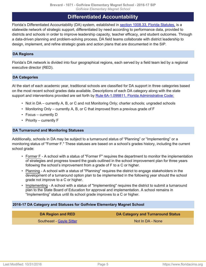# **Differentiated Accountability**

<span id="page-4-0"></span>Florida's Differentiated Accountability (DA) system, established in [section 1008.33, Florida Statutes,](http://www.leg.state.fl.us/Statutes/index.cfm?App_mode=Display_Statute&Search_String=&URL=1000-1099/1008/Sections/1008.33.html) is a statewide network of strategic support, differentiated by need according to performance data, provided to districts and schools in order to improve leadership capacity, teacher efficacy, and student outcomes. Through a data-driven planning and problem-solving process, DA field teams collaborate with district leadership to design, implement, and refine strategic goals and action plans that are documented in the SIP.

# **DA Regions**

Florida's DA network is divided into four geographical regions, each served by a field team led by a regional executive director (RED).

# **DA Categories**

At the start of each academic year, traditional schools are classified for DA support in three categories based on the most recent school grades data available. Descriptions of each DA category along with the state support and interventions provided are set forth by [Rule 6A-1.099811, Florida Administrative Code:](https://www.flrules.org/gateway/ruleNo.asp?id=6A-1.099811)

- Not in DA currently A, B, or C and not Monitoring Only; charter schools; ungraded schools
- Monitoring Only currently A, B, or C that improved from a previous grade of F
- Focus currently D
- Priority currently F

#### **DA Turnaround and Monitoring Statuses**

Additionally, schools in DA may be subject to a turnaround status of "Planning" or "Implementing" or a monitoring status of "Former F." These statuses are based on a school's grades history, including the current school grade:

- Former F A school with a status of "Former F" requires the department to monitor the implementation of strategies and progress toward the goals outlined in the school improvement plan for three years following the school's improvement from a grade of F to a C or higher.
- Planning A school with a status of "Planning" requires the district to engage stakeholders in the development of a turnaround option plan to be implemented in the following year should the school grade not improve to a C or higher.
- Implementing A school with a status of "Implementing" requires the district to submit a turnaround plan to the State Board of Education for approval and implementation. A school remains in "Implementing" status until its school grade improves to a C or higher.

#### **2016-17 DA Category and Statuses for Golfview Elementary Magnet School**

| DA Region and RED               | DA Category and Turnaround Status |
|---------------------------------|-----------------------------------|
| <b>Southeast - Gayle Sitter</b> | Not In DA - None                  |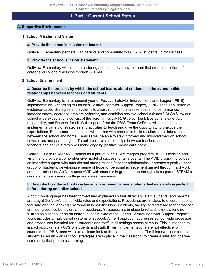# **I. Part I: Current School Status**

#### <span id="page-5-1"></span><span id="page-5-0"></span>**A. Supportive Environment**

#### **1. School Mission and Vision**

#### **a. Provide the school's mission statement**

Golfview Elementary partners with parents and community to G.E.A.R. students up for success.

#### **b. Provide the school's vision statement**

Golfview Elementary will create a nurturing and supportive environment that creates a culture of career and college readiness through STEAM.

#### **2. School Environment**

#### **a. Describe the process by which the school learns about students' cultures and builds relationships between teachers and students**

Golfview Elementary is in it's second year of Positive Behavior Interventions and Support (PBIS) implementation. According to Florida's Positive Behavior Support Project, "PBIS is the application of evidence-based strategies and systems to assist schools to increase academic performance, increase safety, decrease problem behavior, and establish positive school cultures." At Golfview our school wide expectations consist of the acronym G.E.A.R. Give our best, Everyone is safe, Act responsibly, and Respect for all. With support from the PBIS Team Golfview will continue to implement a variety of strategies and activities to teach and give the opportunity to practice the expectations. Furthermore, the school will partner with parents to build a culture of collaboration between the school and home. Families will be able to stay informed and involved through school newsletters and parent nights. To build positive relationships between teachers and students, teachers and administrators will make ongoing positive phone calls home.

Golfview is a third year AVID school as a part of our STEAM magnet program. AVID's mission and vision is to provide a comprehensive model of success for all students. The AVID program provides an intensive support with tutorials and strong student/teacher relationships. It creates a positive peer group for students, developing a sense of hope for personal achievement gained through hard work and determination. Golfview uses AVID with students in grades three through six as part of STEAM to create an atmosphere of college and career readiness.

#### **b. Describe how the school creates an environment where students feel safe and respected before, during and after school**

A common language has been formed and explained so that all faculty, staff, students, and parents are taught Golfview's school wide rules and expectations. Procedures are in place to ensure students feel safe and the learning environment is not disturbed. Students, faculty, and staff are recognized for promoting positive behaviors and procedures. Strategies are in place to reteach expectations not fulfilled as a school or on an individual basis. One of the Florida Positive Behavior Support Project's focus includes a multi-tiered systems of support. A Tier I approach addresses school wide processes and procedures intended for all students and staff, in all settings across campus. This is intended to impact approximately 80% of students and staff. If Tier I implementations are not effective for students, the PBIS team will take a closer look at the data to implement Tier II interventions for the student(s). As an AVID school, strategies are in place in the classroom to create a safe and positive community that promotes learning.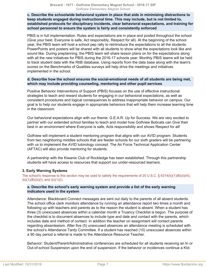#### **c. Describe the schoolwide behavioral system in place that aids in minimizing distractions to keep students engaged during instructional time. This may include, but is not limited to, established protocols for disciplinary incidents, clear behavioral expectations, and training for school personnel to ensure the system is fairly and consistently enforced**

PBIS is in full implementation. Rules and expectations are in place and posted throughout the school (Give your best, Everyone is safe, Act responsibly, Respect for all). At the beginning of the school year, the PBIS team will host a school pep rally to reintroduce the expectations to all the students. PowerPoints and posters will be shared with all students to show what the expectations look like and sound like. During preplanning, the PBIS team will share lesson plans on for the expectations along with all the new initiatives for PBIS during the 2016-17 schools year. Monthly PBIS teams will be held to track student data with the RtIB database. Using reports from the data base along with the team's scores on the Benchmarks of Qualities surveys will help drive the meetings and initiatives implemented in the school.

#### **d. Describe how the school ensures the social-emotional needs of all students are being met, which may include providing counseling, mentoring and other pupil services**

Positive Behavior Interventions of Support (PBIS) focuses on the use of effective instructional strategies to teach and reward students for engaging in our behavioral expectations, as well as consistent procedures and logical consequences to address inappropriate behavior on campus. Our goal is to help our students engage in appropriate behaviors that will help them increase learning time in the classroom.

Our behavioral expectations align with our theme: G.E.A.R. Up for Success. We are very excited to partner with our extended school families to teach and model how Golfview Bobcats can Give their best in an environment where Everyone is safe, Acts responsibility and shows Respect for all!

Golfview will implement a student mentoring program that aligns with our AVID program. Students from two neighboring middles schools that are feeder schools for our sixth graders will be partnering with us to implement the AVID tutorology concept. The Air Force Technical Application Center (AFTAC) will also provide mentoring for students.

A partnership with the Kiwanis Club of Rockledge has been established. Through this partnership students will have access to resources that support our under-resourced learners.

# **3. Early Warning Systems**

The school's response to this section may be used to satisfy the requirements of 20 U.S.C. § 6314(b)(1)(B)(ii)(III),  $(b)(1)(B)(iii)(I),$  and  $(b)(1)(I).$ 

#### **a. Describe the school's early warning system and provide a list of the early warning indicators used in the system**

Attendance: Blackboard Connect messages are sent out daily to the parents of all absent students. The school office clerk monitors attendance by running an attendance report two times a month and following up with teachers and parents as to the reason the student is absent. When a student has three (3) unexcused absences within a calendar month a Truancy Checklist is begun. The purpose of the checklist is to document absences to include type and date and contact with the parents, which includes date and method of contact. In addition the teacher on assignment will contact parents regarding absenteeism. After five (5) unexcused absences an attendance meeting is scheduled with the school's Attendance Tardy Committee. If a student has reached (10) unexcused absences within a 90 day period a referral is made to the Attendance Resource Teacher.

Behavior: Student/Parent/Administrative conferences are scheduled for all students receiving an In or Out-of-school Suspension upon the end of suspension. If the behavior or incidences continue a KId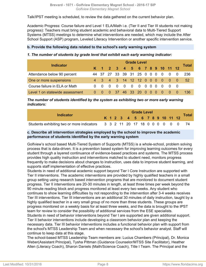Talk/IPST meeting is scheduled, to review the data gathered on the current behavior plan.

Academic Progress: Course failure and Level 1 ELA/Math i.e. (Tier II and Tier III students not making progress): Teachers must bring student academic and behavioral data to Multi-Tiered Support Systems (MTSS) meetings to determine what interventions are needed, which may include the After School Support (ASP) program, Leveled Literacy Intervention or another specific intervention service.

# **b. Provide the following data related to the school's early warning system**

# *1. The number of students by grade level that exhibit each early warning indicator:*

|                                 |          | <b>Grade Level</b> |          |                              |     |                |                |  |  |     | <b>Total</b>        |     |      |
|---------------------------------|----------|--------------------|----------|------------------------------|-----|----------------|----------------|--|--|-----|---------------------|-----|------|
| <b>Indicator</b>                |          |                    |          | K 1 2 3 4 5 6 7 8 9 10 11 12 |     |                |                |  |  |     |                     |     |      |
| Attendance below 90 percent     |          |                    |          | 44 37 27 33 39 31 25 0 0 0 0 |     |                |                |  |  |     | - 0                 | - 0 | -236 |
| One or more suspensions         |          |                    |          | 4 3 4 3 14 12 12 0 0 0 0 0   |     |                |                |  |  |     |                     | - റ | .52  |
| Course failure in ELA or Math   | $\Omega$ |                    | $\Omega$ | - 0                          | - 0 | $\overline{0}$ |                |  |  |     | $0 \quad 0 \quad 0$ |     |      |
| Level 1 on statewide assessment | $\Omega$ |                    | $\Omega$ | -37-                         |     |                | 46 33 20 0 0 0 |  |  | - 0 | - 0                 |     | 136  |

*The number of students identified by the system as exhibiting two or more early warning indicators:*

|                                                                             |  | <b>Grade Level</b> |  |  |                              |  |  |  |  |  |  |              |
|-----------------------------------------------------------------------------|--|--------------------|--|--|------------------------------|--|--|--|--|--|--|--------------|
| <b>Indicator</b>                                                            |  |                    |  |  | K 1 2 3 4 5 6 7 8 9 10 11 12 |  |  |  |  |  |  | <b>Total</b> |
| Students exhibiting two or more indicators 3 3 2 11 20 17 18 0 0 0 0 0 0 74 |  |                    |  |  |                              |  |  |  |  |  |  |              |

# **c. Describe all intervention strategies employed by the school to improve the academic performance of students identified by the early warning system**

Golfview's school based Multi-Tiered System of Supports (MTSS) is a whole-school, problem solving process that is data-driven. It is a prevention based system for improving learning outcomes for every student through a layered continuance of evidence-based practices and systems. The MTSS process provides high quality instruction and interventions matched to student need, monitors progress frequently to make decisions about changes to instruction, uses data to improve student learning, and supports staff implementation of effective practices.

Students in need of additional academic support beyond Tier I Core Instruction are supported with Tier II interventions. The academic interventions are provided by highly qualified teachers in a small group setting using research based intervention programs that are monitored to document student progress. Tier II interventions are 20-30 minutes in length, at least three times per week beyond the 90 minute reading block and progress monitored at least every two weeks. Any student who continues to show learning difficulties by not responding to the intervention after 3-4 weeks receives Tier III interventions. Tier III interventions are an additional 30 minutes of daily instruction, taught by a highly qualified teacher in a very small group of no more than three students. These groups are progress monitored on a weekly basis for at least three weeks, and the data is brought to the IPST team for review to consider the possibility of additional services from the ESE specialists. Students in need of behavior interventions beyond Tier I are supported are given additional support. Tier II behavior interventions include developing a classroom behavior plan and keeping the necessary data. Tier III behavior interventions includes a functional behavior plan with support from the school's MTSS Leadership Team and when necessary the school's behavior analyst. Staff will continue to keep data at this stage.

The school-based MTSS Leadership Team members are: Lucius Chambers (Principal), Dr. Monica Weber(Assistant Principal), Tysha Pittman (Guidance Counselor/MTSS Site Facilitator), Heather Allen (Literacy Coach), Sharon Daniels (Math/Science Coach), Title I Team. The Principal and the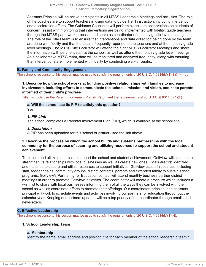Assistant Principal will be active participants in all MTSS Leadership Meetings and activities. The role of the coaches are to support teachers in using data to guide Tier I instruction, including intervention and acceleration efforts. The Guidance Counselor will perform classroom observations on students of concern, assist with monitoring that interventions are being implemented with fidelity, guide teachers through the MTSS paperwork process, and serve as coordinator of monthly grade level meetings. The role of the Title I team is to ensure that interventions and data collection being done by the team are done with fidelity and that the data is frequently reported to the teachers and at the monthly grade level meetings. The MTSS Site Facilitator will attend the eight MTSS Facilitator Meetings and share the information with pertinent staff at the school, as well as attend the monthly grade level meetings. As a collaborative MTSS team, data will be monitored and analyzed frequently, along with ensuring that interventions are implemented with fidelity by conducting walk-throughs.

# <span id="page-8-0"></span>**B. Family and Community Engagement**

The school's response to this section may be used to satisfy the requirements of 20 U.S.C. § 6314(b)(1)(B)(iii)(I)(aa).

#### **1. Describe how the school works at building positive relationships with families to increase involvement, including efforts to communicate the school's mission and vision, and keep parents informed of their child's progress**

Title I schools use the Parent Involvement Plan (PIP) to meet the requirements of 20 U.S.C. § 6314(b)(1)(F).

# **a. Will the school use its PIP to satisfy this question?**

Yes

#### *1. PIP Link*

The school completes a Parental Involvement Plan (PIP), which is available at the school site.

#### *2. Description*

A PIP has been uploaded for this school or district - see the link above.

#### **2. Describe the process by which the school builds and sustains partnerships with the local community for the purpose of securing and utilizing resources to support the school and student achievement**

To secure and utilize resources to support the school and student achievement, Golfview will continue to strengthen its relationships with local businesses as well as create new ones. Goals are first identified, and matched to secure and utilize resources to support initiatives. Golfview uses all resources including staff, feeder chains, community groups, district contacts, parents and extended family to sustain school programs. Golfview's Partnering for Education contact will attend monthly business partner district meetings in order to promote Golfview initiatives. The coordinator will create a brochure which includes a wish list to share with local businesses informing them of all the ways they can be involved with the school as well as coordinate efforts to promote their offerings. Our coordinator, principal and assistant principal will work to schedule events and activities involving our partners for education throughout the calendar year. Keeping our partners updated will be a top priority of our coordinator through emails and newsletters.

#### <span id="page-8-1"></span>**C. Effective Leadership**

The school's response to this section may be used to satisfy the requirements of 20 U.S.C. § 6314(b)(1)(H).

## **1. School Leadership Team**

#### **a. Membership**

Identify the name, email address and position title for each member of the school leadership team.**:**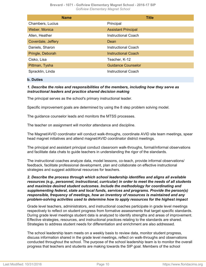**Brevard - 1071 - Golfview Elementary Magnet School - 2016-17 SIP** *Golfview Elementary Magnet School*

| <b>Name</b>        | <b>Title</b>               |
|--------------------|----------------------------|
| Chambers, Lucius   | Principal                  |
| Weber, Monica      | <b>Assistant Principal</b> |
| Allen, Heather     | <b>Instructional Coach</b> |
| Coverdale, Jeffery | Dean                       |
| Daniels, Sharon    | Instructional Coach        |
| Pringle, Deborah   | <b>Instructional Coach</b> |
| Cisko, Lisa        | Teacher, K-12              |
| Pittman, Tysha     | <b>Guidance Counselor</b>  |
| Spracklin, Linda   | Instructional Coach        |

#### **b. Duties**

# *1. Describe the roles and responsibilities of the members, including how they serve as instructional leaders and practice shared decision making*

The principal serves as the school's primary instructional leader.

Specific improvement goals are determined by using the 8 step problem solving model.

The guidance counselor leads and monitors the MTSS processes.

The teacher on assignment will monitor attendance and discipline.

The Magnet/AVID coordinator will conduct walk-throughs, coordinate AVID site team meetings, spear head magnet initiatives and attend magnet/AVID coordinator district meetings.

The principal and assistant principal conduct classroom walk-throughs, formal/informal observations and facilitate data chats to guide teachers in understanding the rigor of the standards.

The instructional coaches analyze data, model lessons, co-teach, provide informal observations/ feedback, facilitate professional development, plan and collaborate on effective instructional strategies and suggest additional resources for teachers.

*2. Describe the process through which school leadership identifies and aligns all available resources (e.g., personnel, instructional, curricular) in order to meet the needs of all students and maximize desired student outcomes. Include the methodology for coordinating and supplementing federal, state and local funds, services and programs. Provide the person(s) responsible, frequency of meetings, how an inventory of resources is maintained and any problem-solving activities used to determine how to apply resources for the highest impact*

Grade level teachers, administrators, and instructional coaches participate in grade level meetings respectively to reflect on student progress from formative assessments that target specific standards. During grade level meetings student data is analyzed to identify strengths and areas of improvement. Effective strategies, resources, and instructional practices relating to the standards are shared. Strategies to address student needs for differentiation and enrichment are also addressed.

The school leadership team meets on a weekly basis to review data, monitor student progress, discuss information shared in the grade level meetings, reflect on walk-throughs and observations conducted throughout the school. The purpose of the school leadership team is to monitor the overall progress that teachers and students are making towards the SIP goal. Members of the school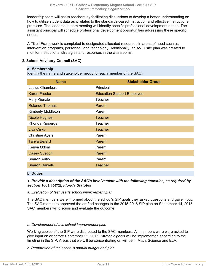leadership team will assist teachers by facilitating discussions to develop a better understanding on how to utilize student data as it relates to the standards-based instruction and effective instructional practices. The leadership team meeting will identify specific professional development needs. The assistant principal will schedule professional development opportunities addressing these specific needs.

A Title I Framework is completed to designated allocated resources in areas of need such as intervention programs, personnel, and technology. Additionally, an AVID site plan was created to monitor instructional strategies and resources in the classrooms.

# **2. School Advisory Council (SAC)**

#### **a. Membership**

Identify the name and stakeholder group for each member of the SAC.**:**

| <b>Name</b>            | <b>Stakeholder Group</b>          |
|------------------------|-----------------------------------|
| Lucius Chambers        | Principal                         |
| <b>Karen Proctor</b>   | <b>Education Support Employee</b> |
| Mary Kienzle           | Teacher                           |
| <b>Rolande Thomas</b>  | Parent                            |
| Kimberly Middleton     | Parent                            |
| <b>Nicole Hughes</b>   | <b>Teacher</b>                    |
| Rhonda Ripperger       | Teacher                           |
| Lisa Cisko             | <b>Teacher</b>                    |
| <b>Christine Ayers</b> | Parent                            |
| <b>Tanya Berard</b>    | Parent                            |
| Kenya Odom             | Parent                            |
| <b>Casey Susgon</b>    | Parent                            |
| <b>Sharon Autry</b>    | Parent                            |
| <b>Sharon Daniels</b>  | <b>Teacher</b>                    |

#### **b. Duties**

# *1. Provide a description of the SAC's involvement with the following activities, as required by section 1001.452(2), Florida Statutes*

#### *a. Evaluation of last year's school improvement plan*

The SAC members were informed about the school's SIP goals they asked questions and gave input. The SAC members approved the drafted changes to the 2015-2016 SIP plan on September 14, 2015. SAC members will discuss and evaluate the outcome

#### *b. Development of this school improvement plan*

Working copies of the SIP were distributed to the SAC members. All members were were asked to give input on or before September 22, 2016. Strategic goals will be implemented according to the timeline in the SIP. Areas that we will be concentrating on will be in Math, Science and ELA.

#### *c. Preparation of the school's annual budget and plan*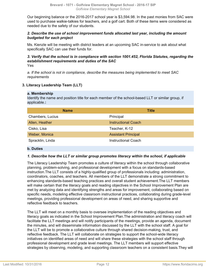Our beginning balance or the 2016-2017 school year is \$3,594.98. In the past monies from SAC were used to purchase walkie-talkies for teachers, and a golf cart. Both of these items were considered as needed due to the safety of our students.

# *2. Describe the use of school improvement funds allocated last year, including the amount budgeted for each project*

Ms. Kienzle will be meeting with district leaders at an upcoming SAC in-service to ask about what specifically SAC can use their funds for.

#### *3. Verify that the school is in compliance with section 1001.452, Florida Statutes, regarding the establishment requirements and duties of the SAC* Yes

*a. If the school is not in compliance, describe the measures being implemented to meet SAC requirements*

# **3. Literacy Leadership Team (LLT)**

#### **a. Membership**

Identify the name and position title for each member of the school-based LLT or similar group, if applicable.**:**

| <b>Name</b>      | <b>Title</b>               |
|------------------|----------------------------|
| Chambers, Lucius | Principal                  |
| Allen, Heather   | <b>Instructional Coach</b> |
| Cisko, Lisa      | Teacher, K-12              |
| Weber, Monica    | <b>Assistant Principal</b> |
| Spracklin, Linda | <b>Instructional Coach</b> |

#### **b. Duties**

#### *1. Describe how the LLT or similar group promotes literacy within the school, if applicable*

The Literacy Leadership Team promotes a culture of literacy within the school through collaborative planning, problem-solving, and professional development with a focus on standards-based instruction.The LLT consists of a highly-qualified group of professionals including: administration, coordinators, coaches, and teachers. All members of the LLT demonstrate a strong commitment to enhancing standards-based teaching practices and overall student achievement.The LLT members will make certain that the literacy goals and reading objectives in the School Improvement Plan are met by analyzing data and identifying strengths and areas for improvement, collaborating based on specific needs, modeling effective classroom instructional practices, collaborating during grade-level meetings, providing professional development on areas of need, and sharing supportive and reflective feedback to teachers.

The LLT will meet on a monthly basis to oversee implementation of the reading objectives and literacy goals as indicated in the School Improvement Plan.The administration and literacy coach will facilitate the LLT meetings and will notify participants of the meetings, provide an agenda, document the minutes, and will disseminate information discussed by the LLT with the school staff. A goal for the LLT will be to promote a collaborative culture through shared decision-making, trust, and reflective feedback. The LLT will collaborate on strategies to support the school-wide literacy initiatives on identified areas of need and will share these strategies with the school staff through professional development and grade level meetings. The LLT members will support effective strategies by observing, modeling, and supporting classroom teachers on a consistent basis.They will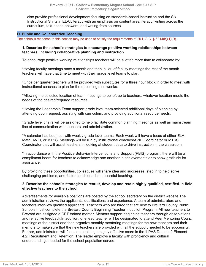also provide professional development focusing on standards-based instruction and the Six Instructional Shifts in ELA/Literacy with an emphasis on content area literacy, writing across the curriculum, text-based answers, and writing from sources.

#### <span id="page-12-0"></span>**D. Public and Collaborative Teaching**

The school's response to this section may be used to satisfy the requirements of 20 U.S.C. § 6314(b)(1)(D).

#### **1. Describe the school's strategies to encourage positive working relationships between teachers, including collaborative planning and instruction**

To encourage positive working relationships teachers will be allotted more time to collaborate by:

\*Having faculty meetings once a month and then in lieu of faculty meetings the rest of the month teachers will have that time to meet with their grade level teams to plan.

\*Once per quarter teachers will be provided with substitutes for a three hour block in order to meet with instructional coaches to plan for the upcoming nine weeks.

\*Allowing the selected location of team meetings to be left up to teachers: whatever location meets the needs of the desired/required resources.

\*Having the Leadership Team support grade level team-selected additional days of planning by: attending upon request, assisting with curriculum, and providing additional resource needs.

\*Grade level chairs will be assigned to help facilitate common planning meetings as well as mainstream line of communication with teachers and administration.

\*A calendar has been set with weekly grade level teams. Each week will have a focus of either ELA, Math, AVID, or MTSS. Meetings will be run by instructional coaches/AVID Coordinator or MTSS Coordinator that will assist teachers in looking at student data to drive instruction in the classroom.

\*In accordance with the Positive Behavior Interventions and Support (PBIS) program, there will be a compliment board for teachers to acknowledge one another in achievements or to show gratitude for assistance.

By providing these opportunities, colleagues will share idea and successes, step in to help solve challenging problems, and foster conditions for successful teaching.

#### **2. Describe the school's strategies to recruit, develop and retain highly qualified, certified-in-field, effective teachers to the school**

Advertisements for available positions are posted by the school secretary on the district website.The administration reviews the applicants' qualifications and experience. A team of administrators and teachers interview qualified applicants. Teachers who are hired that are new to Brevard County Public Schools must complete the Brevard County Beginning Teacher Induction Program. All new teachers to Brevard are assigned a CET trained mentor. Mentors support beginning teachers through observations and reflective feedback.In addition, one lead teacher will be designated to attend Peer Mentoring Council meetings at the district and then organize monthly mentoring meetings for the new teachers and their mentors to make sure that the new teachers are provided with all the support needed to be successful. Further, administrators will focus on attaining a highly effective score in the ILPAS Domain 2 Element 4.2: Recruitment and Retention: The leader employs a faculty with proficiency and cultural understandings needed for the school population served.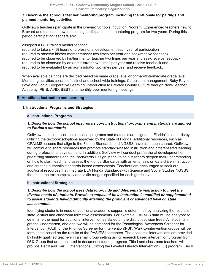#### **3. Describe the school's teacher mentoring program, including the rationale for pairings and planned mentoring activities**

Golfview's teachers participate in the Brevard Schools Induction Program. Experienced teachers new to Brevard and teachers new to teaching participate in the mentoring program for two years. During this period participating teachers are:

#### assigned a CET trained mentor teacher

required to take six (6) hours of professional development each year of participation required to observe his/her mentor teacher two times per year and seek/receive feedback required to be observed by his/her mentor teacher two times per year and seek/receive feedback required to be observed by an administrator two times per year and receive feedback and required to be evaluated by an administrator two times per year and receive feedback.

When available pairings are decided based on same grade level or primary/intermediate grade level. Mentoring activities consist of district and school-wide trainings: Classroom management, Ruby Payne, Love and Logic, Cooperative Learning, Introduction to Brevard County Culture through New-Teacher Academy, PBIS, AVID, BEST and monthly peer mentoring meetings.

#### <span id="page-13-0"></span>**E. Ambitious Instruction and Learning**

#### **1. Instructional Programs and Strategies**

#### **a. Instructional Programs**

#### *1. Describe how the school ensures its core instructional programs and materials are aligned to Florida's standards*

Golfview ensures its core instructional programs and materials are aligned to Florida's standards by utilizing the textbook adoptions approved by the State of Florida. Additional resources, such as CPALMS lessons that align to the Florida Standards and NGSSS have also been shared. Golfview will continue to share resources that promote standards-based instruction and differentiated learning during professional development. In addition, Golfview will conduct professional development on prioritizing standards and the Backwards Design Model to help teachers deepen their understanding on how to plan, teach, and assess the Florida Standards with an emphasis on data-driven instruction and creating authentic standards-based assessments. Teachers are encouraged to seek out additional resources that integrate ELA Florida Standards with Science and Social Studies NGSSS that meet the text complexity and lexile ranges specified for each grade level.

#### **b. Instructional Strategies**

#### *1. Describe how the school uses data to provide and differentiate instruction to meet the diverse needs of students. Provide examples of how instruction is modified or supplemented to assist students having difficulty attaining the proficient or advanced level on state assessments*

Identifying students in need of additional academic support is determined by analyzing the results of state, district and classroom formative assessments. For example, FAIR-FS data will be analyzed to determine the need for additional intervention as stated on the district decision trees. All students in grades kindergarten, one and two will be screened for the Phonological Awareness Screener for Intervention(PASI) or the Phonics Screener for Intervention(PSI). Walk-to-intervention groups will be formulated based on the results of the PASI/PSI screeners. The academic interventions are provided by highly qualified teachers in a small group setting using research based intervention program from 95% Group that are monitored to document student progress. Title I and classroom teachers will provide Tier II and Tier III interventions utilizing the Leveled Literacy Intervention (LLI) program. Tier II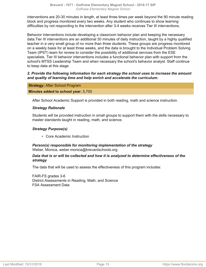interventions are 20-30 minutes in length, at least three times per week beyond the 90 minute reading block and progress monitored every two weeks. Any student who continues to show learning difficulties by not responding to the intervention after 3-4 weeks receives Tier III interventions.

Behavior interventions include developing a classroom behavior plan and keeping the necessary data.Tier III interventions are an additional 30 minutes of daily instruction, taught by a highly qualified teacher in a very small group of no more than three students. These groups are progress monitored on a weekly basis for at least three weeks, and the data is brought to the Individual Problem Solving Team (IPST) team for review to consider the possibility of additional services from the ESE specialists. Tier III behavior interventions includes a functional behavior plan with support from the school's MTSS Leadership Team and when necessary the school's behavior analyst. Staff continue to keep data at this stage.

# *2. Provide the following information for each strategy the school uses to increase the amount and quality of learning time and help enrich and accelerate the curriculum:*

#### **Strategy:** After School Program

#### **Minutes added to school year:** 5,700

After School Academic Support is provided in both reading, math and science instruction.

#### *Strategy Rationale*

Students will be provided instruction in small groups to support them with the skills necessary to master standards taught in reading, math, and science.

#### *Strategy Purpose(s)*

• Core Academic Instruction

#### *Person(s) responsible for monitoring implementation of the strategy* Weber, Monica, weber.monica@brevardschools.org

# *Data that is or will be collected and how it is analyzed to determine effectiveness of the strategy*

The data that will be used to assess the effectiveness of this program includes:

FAIR-FS grades 3-6 District Assessments in Reading, Math, and Science FSA Assessment Data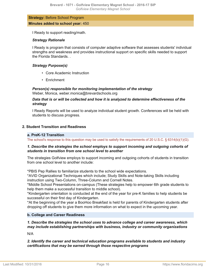**Strategy:** Before School Program **Minutes added to school year:** 450

I Ready to support reading/math.

# *Strategy Rationale*

I Ready is program that consists of computer adaptive software that assesses students' individual strengths and weakness and provides instructional support on specific skills needed to support the Florida Standards.

# *Strategy Purpose(s)*

- Core Academic Instruction
- Enrichment

*Person(s) responsible for monitoring implementation of the strategy* Weber, Monica, weber.monica@brevardschools.org

*Data that is or will be collected and how it is analyzed to determine effectiveness of the strategy*

I Ready Reports will be used to analyze individual student growth. Conferences will be held with students to discuss progress.

# **2. Student Transition and Readiness**

#### **a. PreK-12 Transition**

The school's response to this question may be used to satisfy the requirements of 20 U.S.C. § 6314(b)(1)(G).

#### *1. Describe the strategies the school employs to support incoming and outgoing cohorts of students in transition from one school level to another*

The strategies Golfview employs to support incoming and outgoing cohorts of students in transition from one school level to another include:

\*PBIS Pep Rallies to familiarize students to the school wide expectations.

\*AVID Organizational Techniques which include; Study Skills and Note-taking Skills including instruction using Two-Column, Three-Column and Cornell Notes.

\*Middle School Presentations on-campus (These strategies help to empower 6th grade students to help them make a successful transition to middle school).

\*Kindergarten orientation is conducted at the end of the year for pre-K families to help students be successful on their first day of Kindergarten.

\*At the beginning of the year a BooHoo Breakfast is held for parents of Kindergarten students after dropping off students to give them more information on what to expect in the upcoming year.

#### **b. College and Career Readiness**

# *1. Describe the strategies the school uses to advance college and career awareness, which may include establishing partnerships with business, industry or community organizations*

N/A

*2. Identify the career and technical education programs available to students and industry certifications that may be earned through those respective programs*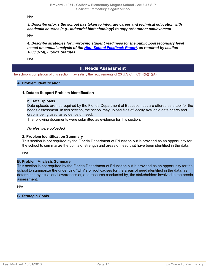N/A

# *3. Describe efforts the school has taken to integrate career and technical education with academic courses (e.g., industrial biotechnology) to support student achievement*

N/A

*4. Describe strategies for improving student readiness for the public postsecondary level based on annual analysis of the [High School Feedback Report,](http://data.fldoe.org/readiness/) as required by section 1008.37(4), Florida Statutes*

N/A

# **II. Needs Assessment**

The school's completion of this section may satisfy the requirements of 20 U.S.C. § 6314(b)(1)(A).

#### **A. Problem Identification**

#### **1. Data to Support Problem Identification**

#### **b. Data Uploads**

Data uploads are not required by the Florida Department of Education but are offered as a tool for the needs assessment. In this section, the school may upload files of locally available data charts and graphs being used as evidence of need.

The following documents were submitted as evidence for this section:

*No files were uploaded*

#### **2. Problem Identification Summary**

This section is not required by the Florida Department of Education but is provided as an opportunity for the school to summarize the points of strength and areas of need that have been identified in the data.

N/A

## **B. Problem Analysis Summary**

This section is not required by the Florida Department of Education but is provided as an opportunity for the school to summarize the underlying "why"? or root causes for the areas of need identified in the data, as determined by situational awareness of, and research conducted by, the stakeholders involved in the needs assessment.

N/A

# **C. Strategic Goals**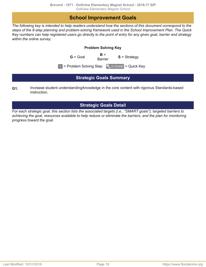# **School Improvement Goals**

<span id="page-17-0"></span>*The following key is intended to help readers understand how the sections of this document correspond to the steps of the 8-step planning and problem-solving framework used in the School Improvement Plan. The Quick Key numbers can help registered users go directly to the point of entry for any given goal, barrier and strategy within the online survey.*

# **Problem Solving Key**

 $G =$  Goal  $B =$ <br>Barrier **S** = Strategy

 $1 =$  Problem Solving Step  $\left[ \begin{array}{cc} \bullet & \bullet & \bullet \\ \bullet & \bullet & \end{array} \right] =$  Quick Key

# **Strategic Goals Summary**

<span id="page-17-1"></span>Increase student understanding/knowledge in the core content with rigorous Standards-based instruction. **G1.**

# **Strategic Goals Detail**

<span id="page-17-2"></span>*For each strategic goal, this section lists the associated targets (i.e., "SMART goals"), targeted barriers to achieving the goal, resources available to help reduce or eliminate the barriers, and the plan for monitoring progress toward the goal.*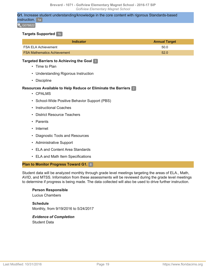**G1.** Increase student understanding/knowledge in the core content with rigorous Standards-based instruction. 1a

 $\sim$  G076622

#### **Targets Supported** 1b

| Indicator                          | <b>Annual Target</b> |
|------------------------------------|----------------------|
| <b>FSA ELA Achievement</b>         | 50.0                 |
| <b>FSA Mathematics Achievement</b> | 52.0                 |

## **Targeted Barriers to Achieving the Goal** 3

- Time to Plan
- Understanding Rigorous Instruction
- Discipline

# **Resources Available to Help Reduce or Eliminate the Barriers** 2

- CPALMS
- School-Wide Positive Behavior Support (PBS)
- Instructional Coaches
- District Resource Teachers
- Parents
- Internet
- Diagnostic Tools and Resources
- Administrative Support
- ELA and Content Area Standards
- ELA and Math Item Specifications

#### **Plan to Monitor Progress Toward G1.** 8

Student data will be analyzed monthly through grade level meetings targeting the areas of ELA., Math, AVID, and MTSS. Information from these assessments will be reviewed during the grade level meetings to determine if progress is being made. The data collected will also be used to drive further instruction.

# **Person Responsible**

Lucius Chambers

**Schedule** Monthly, from 9/19/2016 to 5/24/2017

# *Evidence of Completion* Student Data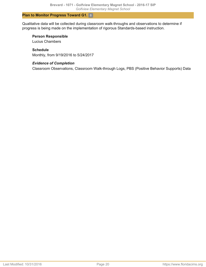# **Plan to Monitor Progress Toward G1.** 8

Qualitative data will be collected during classroom walk-throughs and observations to determine if progress is being made on the implementation of rigorous Standards-based instruction.

# **Person Responsible**

Lucius Chambers

# **Schedule**

Monthly, from 9/19/2016 to 5/24/2017

# *Evidence of Completion*

Classroom Observations, Classroom Walk-through Logs, PBS (Positive Behavior Supports) Data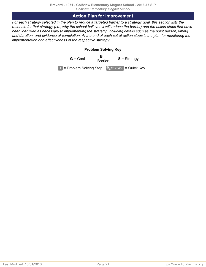# **Action Plan for Improvement**

<span id="page-20-0"></span>*For each strategy selected in the plan to reduce a targeted barrier to a strategic goal, this section lists the rationale for that strategy (i.e., why the school believes it will reduce the barrier) and the action steps that have been identified as necessary to implementing the strategy, including details such as the point person, timing and duration, and evidence of completion. At the end of each set of action steps is the plan for monitoring the implementation and effectiveness of the respective strategy.*

# **Problem Solving Key**

 $G =$  Goal  $B =$ <br>Barrier **S** = Strategy  $\boxed{1}$  = Problem Solving Step  $\boxed{9}$  S123456 = Quick Key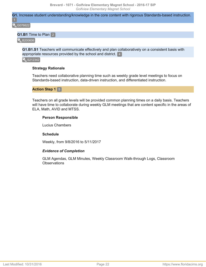**G1.** Increase student understanding/knowledge in the core content with rigorous Standards-based instruction.

G076622

# **G1.B1** Time to Plan 2

**B200606** 

**G1.B1.S1** Teachers will communicate effectively and plan collaboratively on a consistent basis with appropriate resources provided by the school and district. 4

 $\frac{1}{3}$  S212342

#### **Strategy Rationale**

Teachers need collaborative planning time such as weekly grade level meetings to focus on Standards-based instruction, data-driven instruction, and differentiated instruction.

# **Action Step 1** 5

Teachers on all grade levels will be provided common planning times on a daily basis. Teachers will have time to collaborate during weekly GLM meetings that are content specific in the areas of ELA, Math, AVID and MTSS.

#### **Person Responsible**

Lucius Chambers

#### **Schedule**

Weekly, from 9/8/2016 to 5/11/2017

#### *Evidence of Completion*

GLM Agendas, GLM Minutes, Weekly Classroom Walk-through Logs, Classroom **Observations**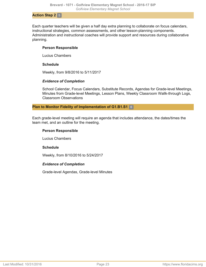#### **Action Step 2** 5

Each quarter teachers will be given a half day extra planning to collaborate on focus calendars, instructional strategies, common assessments, and other lesson-planning components. Administration and instructional coaches will provide support and resources during collaborative planning.

#### **Person Responsible**

Lucius Chambers

#### **Schedule**

Weekly, from 9/8/2016 to 5/11/2017

#### *Evidence of Completion*

School Calendar, Focus Calendars, Substitute Records, Agendas for Grade-level Meetings, Minutes from Grade-level Meetings, Lesson Plans, Weekly Classroom Wallk-through Logs, Classroom Observations

#### **Plan to Monitor Fidelity of Implementation of G1.B1.S1** 6

Each grade-level meeting will require an agenda that includes attendance, the dates/times the team met, and an outline for the meeting.

#### **Person Responsible**

Lucius Chambers

#### **Schedule**

Weekly, from 8/10/2016 to 5/24/2017

#### *Evidence of Completion*

Grade-level Agendas, Grade-level Minutes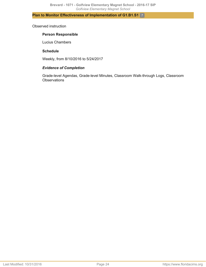# **Plan to Monitor Effectiveness of Implementation of G1.B1.S1** 7

#### Observed instruction

#### **Person Responsible**

Lucius Chambers

## **Schedule**

Weekly, from 8/10/2016 to 5/24/2017

#### *Evidence of Completion*

Grade-level Agendas, Grade-level Minutes, Classroom Walk-through Logs, Classroom **Observations**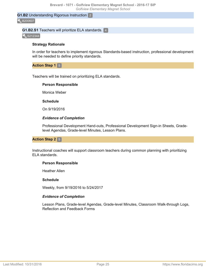#### **G1.B2** Understanding Rigorous Instruction 2

**B200607** 

#### **G1.B2.S1** Teachers will prioritize ELA standards. 4

 $\frac{1}{3}$  S212344

#### **Strategy Rationale**

In order for teachers to implement rigorous Standards-based instruction, professional development will be needed to define priority standards.

**Action Step 1** 5

Teachers will be trained on prioritizing ELA standards.

#### **Person Responsible**

Monica Weber

#### **Schedule**

On 9/19/2016

#### *Evidence of Completion*

Professional Development Hand-outs, Professional Development Sign-in Sheets, Gradelevel Agendas, Grade-level Minutes, Lesson Plans.

#### **Action Step 2** 5

Instructional coaches will support classroom teachers during common planning with prioritizing ELA standards.

#### **Person Responsible**

Heather Allen

#### **Schedule**

Weekly, from 9/19/2016 to 5/24/2017

#### *Evidence of Completion*

Lesson Plans, Grade-level Agendas, Grade-level Minutes, Classroom Walk-through Logs, Reflection and Feedback Forms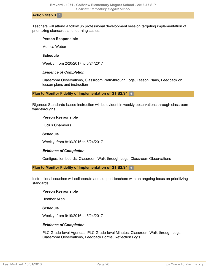#### **Action Step 3** 5

Teachers will attend a follow up professional development session targeting implementation of prioritizing standards and learning scales.

#### **Person Responsible**

Monica Weber

#### **Schedule**

Weekly, from 2/20/2017 to 5/24/2017

#### *Evidence of Completion*

Classroom Observations, Classroom Walk-through Logs, Lesson Plans, Feedback on lesson plans and instruction

#### **Plan to Monitor Fidelity of Implementation of G1.B2.S1** 6

Rigorous Standards-based instruction will be evident in weekly observations through classroom walk-throughs.

#### **Person Responsible**

Lucius Chambers

#### **Schedule**

Weekly, from 8/10/2016 to 5/24/2017

#### *Evidence of Completion*

Configuration boards, Classroom Walk-through Logs, Classroom Observations

#### **Plan to Monitor Fidelity of Implementation of G1.B2.S1** 6

Instructional coaches will collaborate and support teachers with an ongoing focus on prioritizing standards.

#### **Person Responsible**

Heather Allen

#### **Schedule**

Weekly, from 9/19/2016 to 5/24/2017

#### *Evidence of Completion*

PLC Grade-level Agendas, PLC Grade-level Minutes, Classroom Walk-through Logs Classroom Observations, Feedback Forms, Reflection Logs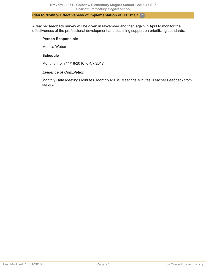## **Plan to Monitor Effectiveness of Implementation of G1.B2.S1** 7

A teacher feedback survey will be given in November and then again in April to monitor the effectiveness of the professional development and coaching support on prioritizing standards.

## **Person Responsible**

Monica Weber

# **Schedule**

Monthly, from 11/18/2016 to 4/7/2017

# *Evidence of Completion*

Monthly Data Meetings Minutes, Monthly MTSS Meetings Minutes, Teacher Feedback from survey.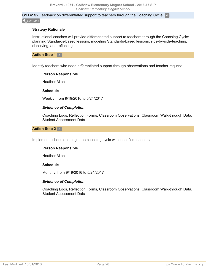**G1.B2.S2** Feedback on differentiated support to teachers through the Coaching Cycle. 4 S212347

#### **Strategy Rationale**

Instructional coaches will provide differentiated support to teachers through the Coaching Cycle: planning Standards-based lessons, modeling Standards-based lessons, side-by-side-teaching, observing, and reflecting.

#### **Action Step 1** 5

Identify teachers who need differentiated support through observations and teacher request.

#### **Person Responsible**

Heather Allen

#### **Schedule**

Weekly, from 9/19/2016 to 5/24/2017

#### *Evidence of Completion*

Coaching Logs, Reflection Forms, Classroom Observations, Classroom Walk-through Data, Student Assessment Data

#### **Action Step 2** 5

Implement schedule to begin the coaching cycle with identified teachers.

#### **Person Responsible**

Heather Allen

#### **Schedule**

Monthly, from 9/19/2016 to 5/24/2017

#### *Evidence of Completion*

Coaching Logs, Reflection Forms, Classroom Observations, Classroom Walk-through Data, Student Assessment Data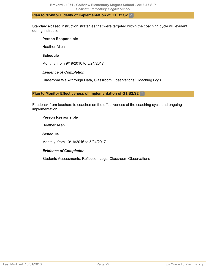#### **Plan to Monitor Fidelity of Implementation of G1.B2.S2** 6

Standards-based instruction strategies that were targeted within the coaching cycle will evident during instruction.

## **Person Responsible**

Heather Allen

# **Schedule**

Monthly, from 9/19/2016 to 5/24/2017

# *Evidence of Completion*

Classroom Walk-through Data, Classroom Observations, Coaching Logs

#### **Plan to Monitor Effectiveness of Implementation of G1.B2.S2** 7

Feedback from teachers to coaches on the effectiveness of the coaching cycle and ongoing implementation.

# **Person Responsible**

Heather Allen

# **Schedule**

Monthly, from 10/19/2016 to 5/24/2017

# *Evidence of Completion*

Students Assessments, Reflection Logs, Classroom Observations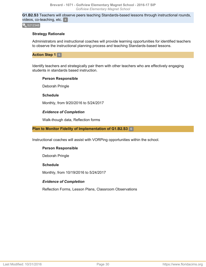**G1.B2.S3** Teachers will observe peers teaching Standards-based lessons through instructional rounds, videos, co-teaching, etc. 4

 $\sqrt{\ }$  S212348

#### **Strategy Rationale**

Administrators and instructional coaches will provide learning opportunities for identified teachers to observe the instructional planning process and teaching Standards-based lessons.

**Action Step 1 5** 

Identify teachers and strategically pair them with other teachers who are effectively engaging students in standards based instruction.

#### **Person Responsible**

Deborah Pringle

**Schedule**

Monthly, from 9/20/2016 to 5/24/2017

#### *Evidence of Completion*

Walk-though data, Reflection forms

## **Plan to Monitor Fidelity of Implementation of G1.B2.S3** 6

Instructional coaches will assist with VORPing opportunities within the school.

#### **Person Responsible**

Deborah Pringle

#### **Schedule**

Monthly, from 10/19/2016 to 5/24/2017

#### *Evidence of Completion*

Reflection Forms, Lesson Plans, Classroom Observations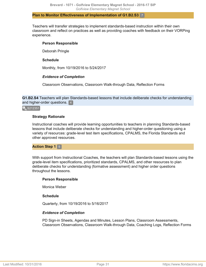#### **Plan to Monitor Effectiveness of Implementation of G1.B2.S3** 7

Teachers will transfer strategies to implement standards-based instruction within their own classroom and reflect on practices as well as providing coaches with feedback on their VORPing experience.

#### **Person Responsible**

Deborah Pringle

#### **Schedule**

Monthly, from 10/19/2016 to 5/24/2017

#### *Evidence of Completion*

Classroom Observations, Classroom Walk-through Data, Reflection Forms

**G1.B2.S4** Teachers will plan Standards-based lessons that include deliberate checks for understanding and higher-order questions. 4

#### S212351

#### **Strategy Rationale**

Instructional coaches will provide learning opportunities to teachers in planning Standards-based lessons that include deliberate checks for understanding and higher-order questioning using a variety of resources: grade-level test item specifications, CPALMS, the Florida Standards and other approved resources.

#### **Action Step 1** 5

With support from Instructional Coaches, the teachers will plan Standards-based lessons using the grade-level item specifications, prioritized standards, CPALMS, and other resources to plan deliberate checks for understanding (formative assessment) and higher order questions throughout the lessons.

#### **Person Responsible**

Monica Weber

#### **Schedule**

Quarterly, from 10/19/2016 to 5/16/2017

#### *Evidence of Completion*

PD Sign-in Sheets, Agendas and Minutes, Lesson Plans, Classroom Assessments, Classroom Observations, Classroom Walk-through Data, Coaching Logs, Reflection Forms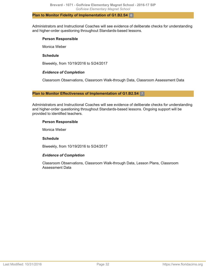#### **Plan to Monitor Fidelity of Implementation of G1.B2.S4** 6

Administrators and Instructional Coaches will see evidence of deliberate checks for understanding and higher-order questioning throughout Standards-based lessons.

## **Person Responsible**

Monica Weber

# **Schedule**

Biweekly, from 10/19/2016 to 5/24/2017

# *Evidence of Completion*

Classroom Observations, Classroom Walk-through Data, Classroom Assessment Data

#### **Plan to Monitor Effectiveness of Implementation of G1.B2.S4** 7

Administrators and Instructional Coaches will see evidence of deliberate checks for understanding and higher-order questioning throughout Standards-based lessons. Ongoing support will be provided to identified teachers.

# **Person Responsible**

Monica Weber

#### **Schedule**

Biweekly, from 10/19/2016 to 5/24/2017

# *Evidence of Completion*

Classroom Observations, Classroom Walk-through Data, Lesson Plans, Classroom Assessment Data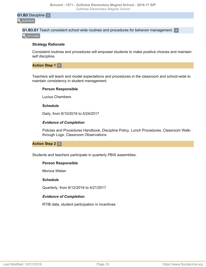**G1.B3** Discipline 2

**B200608** 

**G1.B3.S1** Teach consistent school wide routines and procedures for behavior management. 4  $\frac{1}{3}$  S212352

#### **Strategy Rationale**

Consistent routines and procedures will empower students to make positive choices and maintain self discipline.

#### **Action Step 1** 5

Teachers will teach and model expectations and procedures in the classroom and school-wide to maintain consistency in student management.

#### **Person Responsible**

Lucius Chambers

#### **Schedule**

Daily, from 8/10/2016 to 5/24/2017

#### *Evidence of Completion*

Policies and Procedures Handbook, Discipline Policy, Lunch Procedures, Classroom Walkthrough Logs, Classroom Observations

#### **Action Step 2 5**

Students and teachers participate in quarterly PBIS assemblies.

#### **Person Responsible**

Monica Weber

#### **Schedule**

Quarterly, from 8/12/2016 to 4/21/2017

#### *Evidence of Completion*

RTIB data, student participation in incentives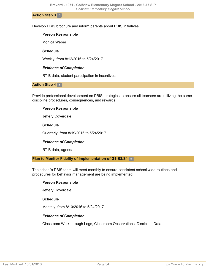**Action Step 3** 5

Develop PBIS brochure and inform parents about PBIS initiatives.

#### **Person Responsible**

Monica Weber

#### **Schedule**

Weekly, from 8/12/2016 to 5/24/2017

#### *Evidence of Completion*

RTIB data, student participation in incentives

#### **Action Step 4** 5

Provide professional development on PBIS strategies to ensure all teachers are utilizing the same discipline procedures, consequences, and rewards.

#### **Person Responsible**

Jeffery Coverdale

#### **Schedule**

Quarterly, from 8/19/2016 to 5/24/2017

#### *Evidence of Completion*

RTIB data, agenda

**Plan to Monitor Fidelity of Implementation of G1.B3.S1** 6

The school's PBIS team will meet monthly to ensure consistent school wide routines and procedures for behavior management are being implemented.

#### **Person Responsible**

Jeffery Coverdale

#### **Schedule**

Monthly, from 8/10/2016 to 5/24/2017

#### *Evidence of Completion*

Classroom Walk-through Logs, Classroom Observations, Discipline Data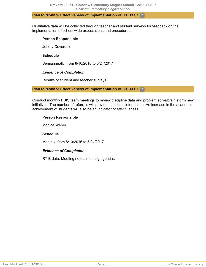#### **Plan to Monitor Effectiveness of Implementation of G1.B3.S1** 7

Qualitative data will be collected through teacher and student surveys for feedback on the implementation of school wide expectations and procedures.

## **Person Responsible**

Jeffery Coverdale

# **Schedule**

Semiannually, from 8/10/2016 to 5/24/2017

# *Evidence of Completion*

Results of student and teacher surveys.

# **Plan to Monitor Effectiveness of Implementation of G1.B3.S1** 7

Conduct monthly PBIS team meetings to review discipline data and problem solve/brain storm new initiatives. The number of referrals will provide additional information. An increase in the academic achievement of students will also be an indicator of effectiveness.

# **Person Responsible**

Monica Weber

# **Schedule**

Monthly, from 8/10/2016 to 5/24/2017

# *Evidence of Completion*

RTIB data, Meeting notes, meeting agendas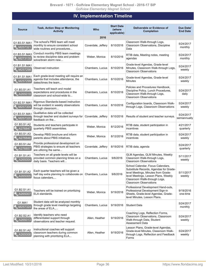# **IV. Implementation Timeline**

<span id="page-35-0"></span>

| <b>Source</b>           | <b>Task, Action Step or Monitoring</b><br><b>Activity</b>                                                                         | Who                | <b>Start Date</b><br>(where<br>applicable) | Deliverable or Evidence of<br><b>Completion</b>                                                                                                                                                                              | Due Date/<br><b>End Date</b> |
|-------------------------|-----------------------------------------------------------------------------------------------------------------------------------|--------------------|--------------------------------------------|------------------------------------------------------------------------------------------------------------------------------------------------------------------------------------------------------------------------------|------------------------------|
|                         |                                                                                                                                   | 2016               |                                            |                                                                                                                                                                                                                              |                              |
| G1.B3.S1.MA1<br>M257321 | The school's PBIS team will meet<br>monthly to ensure consistent school<br>wide routines and procedures                           | Coverdale, Jeffery | 8/10/2016                                  | Classroom Walk-through Logs,<br>Classroom Observations, Discipline<br>Data                                                                                                                                                   | 5/24/2017<br>monthly         |
| G1.B3.S1.MA3<br>M273135 | Conduct monthly PBIS team meetings<br>to review discipline data and problem<br>solve/brain storm new                              | Weber, Monica      | 8/10/2016                                  | RTIB data, Meeting notes, meeting<br>agendas                                                                                                                                                                                 | 5/24/2017<br>monthly         |
| G1.B1.S1.MA1<br>M257298 | Observed instruction                                                                                                              | Chambers, Lucius   | 8/10/2016                                  | Grade-level Agendas, Grade-level<br>Minutes, Classroom Walk-through Logs,<br><b>Classroom Observations</b>                                                                                                                   | 5/24/2017<br>weekly          |
| G1.B1.S1.MA1<br>M257299 | Each grade-level meeting will require an<br>agenda that includes attendance, the<br>dates/times the team                          | Chambers, Lucius   | 8/10/2016                                  | Grade-level Agendas, Grade-level<br>Minutes                                                                                                                                                                                  | 5/24/2017<br>weekly          |
| G1.B3.S1.A1<br>A265018  | Teachers will teach and model<br>expectations and procedures in the<br>classroom and school-wide to                               | Chambers, Lucius   | 8/10/2016                                  | Policies and Procedures Handbook,<br>Discipline Policy, Lunch Procedures,<br>Classroom Walk-through Logs,<br><b>Classroom Observations</b>                                                                                   | 5/24/2017<br>daily           |
| G1.B2.S1.MA1<br>M257304 | Rigorous Standards-based instruction<br>will be evident in weekly observations<br>through classroom                               | Chambers, Lucius   | 8/10/2016                                  | Configuration boards, Classroom Walk-<br>through Logs, Classroom Observations                                                                                                                                                | 5/24/2017<br>weekly          |
| G1.B3.S1.MA1<br>M257320 | Qualitative data will be collected<br>through teacher and student surveys for<br>feedback on the                                  | Coverdale, Jeffery | 8/10/2016                                  | Results of student and teacher surveys.                                                                                                                                                                                      | 5/24/2017<br>semiannually    |
| G1.B3.S1.A2<br>A276847  | Students and teachers participate in<br>quarterly PBIS assemblies.                                                                | Weber, Monica      | 8/12/2016                                  | RTIB data, student participation in<br>incentives                                                                                                                                                                            | 4/21/2017<br>quarterly       |
| G1.B3.S1.A3<br>A276848  | Develop PBIS brochure and inform<br>parents about PBIS initiatives.                                                               | Weber, Monica      | 8/12/2016                                  | RTIB data, student participation in<br>incentives                                                                                                                                                                            | 5/24/2017<br>weekly          |
| G1.B3.S1.A4<br>A276857  | Provide professional development on<br>PBIS strategies to ensure all teachers<br>are utilizing the same                           | Coverdale, Jeffery | 8/19/2016                                  | RTIB data, agenda                                                                                                                                                                                                            | 5/24/2017<br>quarterly       |
| G1.B1.S1.A1<br>A265004  | Teachers on all grade levels will be<br>provided common planning times on a<br>daily basis. Teachers will                         | Chambers, Lucius   | 9/8/2016                                   | GLM Agendas, GLM Minutes, Weekly<br>Classroom Walk-through Logs,<br><b>Classroom Observations</b>                                                                                                                            | 5/11/2017<br>weekly          |
| G1.B1.S1.A2<br>A265005  | Each quarter teachers will be given a<br>half day extra planning to collaborate on Chambers, Lucius   9/8/2016<br>focus calendars |                    |                                            | School Calendar, Focus Calendars,<br>Substitute Records, Agendas for Grade-<br>level Meetings, Minutes from Grade-<br>level Meetings, Lesson Plans, Weekly<br>Classroom Wallk-through Logs,<br><b>Classroom Observations</b> | 5/11/2017<br>weekly          |
| G1.B2.S1.A1<br>A265007  | Teachers will be trained on prioritizing<br>ELA standards.                                                                        | Weber, Monica      | 9/19/2016                                  | Professional Development Hand-outs,<br>Professional Development Sign-in<br>Sheets, Grade-level Agendas, Grade-<br>level Minutes, Lesson Plans.                                                                               | 9/19/2016<br>one-time        |
| G1.MA1<br>M257324       | Student data will be analyzed monthly<br>through grade level meetings targeting<br>the areas of ELA                               | Chambers, Lucius   | 9/19/2016                                  | <b>Student Data</b>                                                                                                                                                                                                          | 5/24/2017<br>monthly         |
| G1.B2.S2.A1<br>A265013  | Identify teachers who need<br>differentiated support through<br>observations and teacher request.                                 | Allen, Heather     | 9/19/2016                                  | Coaching Logs, Reflection Forms,<br>Classroom Observations, Classroom<br>Walk-through Data, Student<br>Assessment Data                                                                                                       | 5/24/2017<br>weekly          |
| G1.B2.S1.A2<br>A265008  | Instructional coaches will support<br>classroom teachers during common<br>planning with prioritizing ELA                          | Allen, Heather     | 9/19/2016                                  | Lesson Plans, Grade-level Agendas,<br>Grade-level Minutes, Classroom Walk-<br>through Logs, Reflection and Feedback<br>Forms                                                                                                 | 5/24/2017<br>weekly          |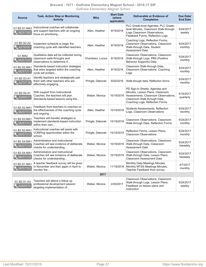#### **Brevard - 1071 - Golfview Elementary Magnet School - 2016-17 SIP** *Golfview Elementary Magnet School*

| <b>Source</b>                  | <b>Task, Action Step or Monitoring</b><br><b>Activity</b>                                                | <b>Who</b>       | <b>Start Date</b><br>(where<br>applicable) | Deliverable or Evidence of<br><b>Completion</b>                                                                                                                               | Due Date/<br><b>End Date</b> |
|--------------------------------|----------------------------------------------------------------------------------------------------------|------------------|--------------------------------------------|-------------------------------------------------------------------------------------------------------------------------------------------------------------------------------|------------------------------|
| G1.B2.S1.MA3<br>M257305        | Instructional coaches will collaborate<br>and support teachers with an ongoing<br>focus on prioritizing  | Allen, Heather   | 9/19/2016                                  | PLC Grade-level Agendas, PLC Grade-<br>level Minutes, Classroom Walk-through<br>Logs Classroom Observations,<br>Feedback Forms, Reflection Logs                               | 5/24/2017<br>weekly          |
| G1.B2.S2.A2<br>A276787         | Implement schedule to begin the<br>coaching cycle with identified teachers.                              | Allen, Heather   | 9/19/2016                                  | Coaching Logs, Reflection Forms,<br>Classroom Observations, Classroom<br>Walk-through Data, Student<br><b>Assessment Data</b>                                                 | 5/24/2017<br>monthly         |
| G1.MA2<br>M257325              | Qualitative data will be collected during<br>classroom walk-throughs and<br>observations to determine if | Chambers, Lucius | 9/19/2016                                  | Classroom Observations, Classroom<br>Walk-through Logs, PBS (Positive<br><b>Behavior Supports) Data</b>                                                                       | 5/24/2017<br>monthly         |
| G1.B2.S2.MA1<br>$\sim$ M257311 | Standards-based instruction strategies<br>that were targeted within the coaching<br>cycle will evident   | Allen, Heather   | 9/19/2016                                  | Classroom Walk-through Data,<br>Classroom Observations, Coaching<br>Logs                                                                                                      | 5/24/2017<br>monthly         |
| G1.B2.S3.A1<br>A274136         | Identify teachers and strategically pair<br>them with other teachers who are<br>effectively engaging     | Pringle, Deborah | 9/20/2016                                  | Walk-though data, Reflection forms                                                                                                                                            | 5/24/2017<br>monthly         |
| G1.B2.S4.A1<br>A265017         | With support from Instructional<br>Coaches, the teachers will plan<br>Standards-based lessons using the  | Weber, Monica    | 10/19/2016                                 | PD Sign-in Sheets, Agendas and<br>Minutes, Lesson Plans, Classroom<br>Assessments, Classroom Observations,<br>Classroom Walk-through Data,<br>Coaching Logs, Reflection Forms | 5/16/2017<br>quarterly       |
| G1.B2.S2.MA1<br>M257310        | Feedback from teachers to coaches on<br>the effectiveness of the coaching cycle<br>and ongoing           | Allen, Heather   | 10/19/2016                                 | <b>Students Assessments, Reflection</b><br>Logs, Classroom Observations                                                                                                       | 5/24/2017<br>monthly         |
| G1.B2.S3.MA1<br>M257312        | Teachers will transfer strategies to<br>implement standards-based instruction<br>within their own        | Pringle, Deborah | 10/19/2016                                 | Classroom Observations, Classroom<br>Walk-through Data, Reflection Forms                                                                                                      | 5/24/2017<br>monthly         |
| G1.B2.S3.MA1<br>M257313        | Instructional coaches will assist with<br>VORPing opportunities within the<br>school.                    | Pringle, Deborah | 10/19/2016                                 | Reflection Forms, Lesson Plans,<br><b>Classroom Observations</b>                                                                                                              | 5/24/2017<br>monthly         |
| G1.B2.S4.MA1<br>M257319        | Administrators and Instructional<br>Coaches will see evidence of deliberate<br>checks for understanding  | Weber, Monica    | 10/19/2016                                 | Classroom Observations, Classroom<br>Walk-through Data, Classroom<br>Assessment Data                                                                                          | 5/24/2017<br>biweekly        |
| G1.B2.S4.MA1<br>M257318        | Administrators and Instructional<br>Coaches will see evidence of deliberate<br>checks for understanding  | Weber, Monica    | 10/19/2016                                 | Classroom Observations, Classroom<br>Walk-through Data, Lesson Plans,<br><b>Classroom Assessment Data</b>                                                                     | 5/24/2017<br>biweekly        |
| G1.B2.S1.MA1<br>M257302        | A teacher feedback survey will be given<br>in November and then again in April to<br>monitor the         | Weber, Monica    | 11/18/2016                                 | Monthly Data Meetings Minutes,<br>Monthly MTSS Meetings Minutes,<br>Teacher Feedback from survey.                                                                             | 4/7/2017<br>monthly          |
|                                |                                                                                                          | 2017             |                                            |                                                                                                                                                                               |                              |
| G1.B2.S1.A3<br>A265010         | Teachers will attend a follow up<br>professional development session<br>targeting implementation of      | Weber, Monica    | 2/20/2017                                  | Classroom Observations, Classroom<br>Walk-through Logs, Lesson Plans,<br>Feedback on lesson plans and<br>instruction                                                          | 5/24/2017<br>weekly          |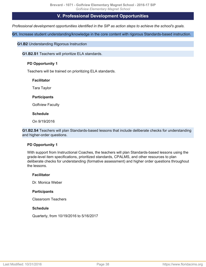# **V. Professional Development Opportunities**

<span id="page-37-1"></span><span id="page-37-0"></span>*Professional development opportunities identified in the SIP as action steps to achieve the school's goals.*

**G1.** Increase student understanding/knowledge in the core content with rigorous Standards-based instruction.

**G1.B2** Understanding Rigorous Instruction

**G1.B2.S1** Teachers will prioritize ELA standards.

# **PD Opportunity 1**

Teachers will be trained on prioritizing ELA standards.

# **Facilitator**

Tara Taylor

# **Participants**

Golfview Faculty

# **Schedule**

On 9/19/2016

**G1.B2.S4** Teachers will plan Standards-based lessons that include deliberate checks for understanding and higher-order questions.

# **PD Opportunity 1**

With support from Instructional Coaches, the teachers will plan Standards-based lessons using the grade-level item specifications, prioritized standards, CPALMS, and other resources to plan deliberate checks for understanding (formative assessment) and higher order questions throughout the lessons.

# **Facilitator**

Dr. Monica Weber

# **Participants**

Classroom Teachers

# **Schedule**

Quarterly, from 10/19/2016 to 5/16/2017